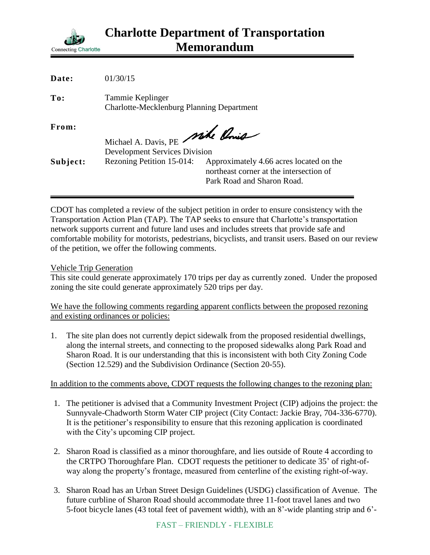

| Date:    | 01/30/15                                                                |                                                                                                                  |
|----------|-------------------------------------------------------------------------|------------------------------------------------------------------------------------------------------------------|
| To:      | Tammie Keplinger<br><b>Charlotte-Mecklenburg Planning Department</b>    |                                                                                                                  |
| From:    | Michael A. Davis, PE Mike Ponis<br><b>Development Services Division</b> |                                                                                                                  |
| Subject: | Rezoning Petition 15-014:                                               | Approximately 4.66 acres located on the<br>northeast corner at the intersection of<br>Park Road and Sharon Road. |

CDOT has completed a review of the subject petition in order to ensure consistency with the Transportation Action Plan (TAP). The TAP seeks to ensure that Charlotte's transportation network supports current and future land uses and includes streets that provide safe and comfortable mobility for motorists, pedestrians, bicyclists, and transit users. Based on our review of the petition, we offer the following comments.

Vehicle Trip Generation

This site could generate approximately 170 trips per day as currently zoned. Under the proposed zoning the site could generate approximately 520 trips per day.

We have the following comments regarding apparent conflicts between the proposed rezoning and existing ordinances or policies:

1. The site plan does not currently depict sidewalk from the proposed residential dwellings, along the internal streets, and connecting to the proposed sidewalks along Park Road and Sharon Road. It is our understanding that this is inconsistent with both City Zoning Code (Section 12.529) and the Subdivision Ordinance (Section 20-55).

In addition to the comments above, CDOT requests the following changes to the rezoning plan:

- 1. The petitioner is advised that a Community Investment Project (CIP) adjoins the project: the Sunnyvale-Chadworth Storm Water CIP project (City Contact: Jackie Bray, 704-336-6770). It is the petitioner's responsibility to ensure that this rezoning application is coordinated with the City's upcoming CIP project.
- 2. Sharon Road is classified as a minor thoroughfare, and lies outside of Route 4 according to the CRTPO Thoroughfare Plan. CDOT requests the petitioner to dedicate 35' of right-ofway along the property's frontage, measured from centerline of the existing right-of-way.
- 3. Sharon Road has an Urban Street Design Guidelines (USDG) classification of Avenue. The future curbline of Sharon Road should accommodate three 11-foot travel lanes and two 5-foot bicycle lanes (43 total feet of pavement width), with an 8'-wide planting strip and 6'-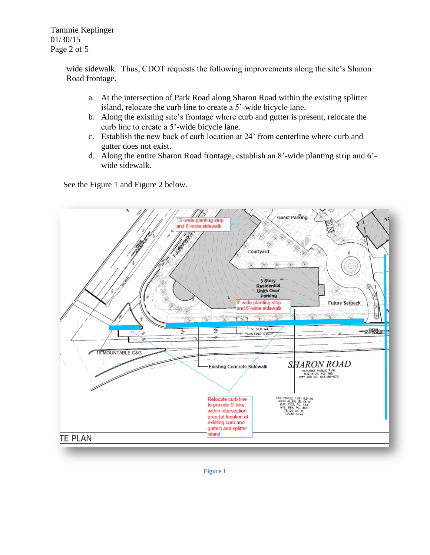Tammie Keplinger 01/30/15 Page 2 of 5

> wide sidewalk. Thus, CDOT requests the following improvements along the site's Sharon Road frontage.

- a. At the intersection of Park Road along Sharon Road within the existing splitter island, relocate the curb line to create a 5'-wide bicycle lane.
- b. Along the existing site's frontage where curb and gutter is present, relocate the curb line to create a 5'-wide bicycle lane.
- c. Establish the new back of curb location at 24' from centerline where curb and gutter does not exist.
- d. Along the entire Sharon Road frontage, establish an 8'-wide planting strip and 6' wide sidewalk.

See the Figure 1 and Figure 2 below.

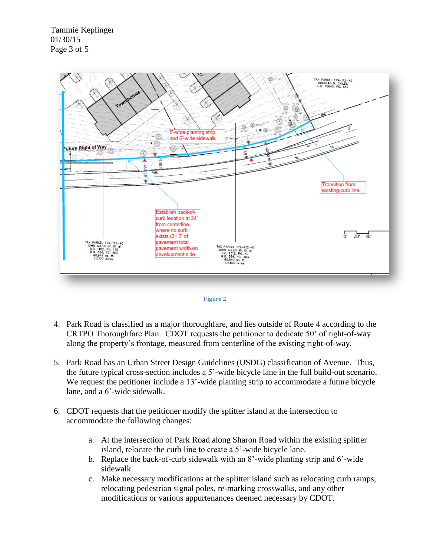Tammie Keplinger 01/30/15 Page 3 of 5



![](_page_2_Figure_2.jpeg)

- 4. Park Road is classified as a major thoroughfare, and lies outside of Route 4 according to the CRTPO Thoroughfare Plan. CDOT requests the petitioner to dedicate 50' of right-of-way along the property's frontage, measured from centerline of the existing right-of-way.
- 5. Park Road has an Urban Street Design Guidelines (USDG) classification of Avenue. Thus, the future typical cross-section includes a 5'-wide bicycle lane in the full build-out scenario. We request the petitioner include a 13'-wide planting strip to accommodate a future bicycle lane, and a 6'-wide sidewalk.
- 6. CDOT requests that the petitioner modify the splitter island at the intersection to accommodate the following changes:
	- a. At the intersection of Park Road along Sharon Road within the existing splitter island, relocate the curb line to create a 5'-wide bicycle lane.
	- b. Replace the back-of-curb sidewalk with an 8'-wide planting strip and 6'-wide sidewalk.
	- c. Make necessary modifications at the splitter island such as relocating curb ramps, relocating pedestrian signal poles, re-marking crosswalks, and any other modifications or various appurtenances deemed necessary by CDOT.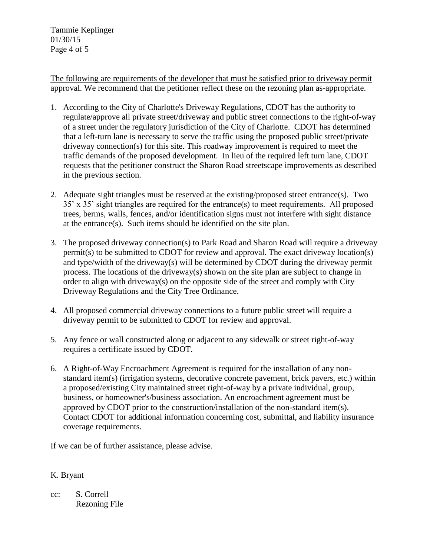Tammie Keplinger 01/30/15 Page 4 of 5

The following are requirements of the developer that must be satisfied prior to driveway permit approval. We recommend that the petitioner reflect these on the rezoning plan as-appropriate.

- 1. According to the City of Charlotte's Driveway Regulations, CDOT has the authority to regulate/approve all private street/driveway and public street connections to the right-of-way of a street under the regulatory jurisdiction of the City of Charlotte. CDOT has determined that a left-turn lane is necessary to serve the traffic using the proposed public street/private driveway connection(s) for this site. This roadway improvement is required to meet the traffic demands of the proposed development. In lieu of the required left turn lane, CDOT requests that the petitioner construct the Sharon Road streetscape improvements as described in the previous section.
- 2. Adequate sight triangles must be reserved at the existing/proposed street entrance(s). Two 35' x 35' sight triangles are required for the entrance(s) to meet requirements. All proposed trees, berms, walls, fences, and/or identification signs must not interfere with sight distance at the entrance(s). Such items should be identified on the site plan.
- 3. The proposed driveway connection(s) to Park Road and Sharon Road will require a driveway permit(s) to be submitted to CDOT for review and approval. The exact driveway location(s) and type/width of the driveway(s) will be determined by CDOT during the driveway permit process. The locations of the driveway(s) shown on the site plan are subject to change in order to align with driveway(s) on the opposite side of the street and comply with City Driveway Regulations and the City Tree Ordinance.
- 4. All proposed commercial driveway connections to a future public street will require a driveway permit to be submitted to CDOT for review and approval.
- 5. Any fence or wall constructed along or adjacent to any sidewalk or street right-of-way requires a certificate issued by CDOT.
- 6. A Right-of-Way Encroachment Agreement is required for the installation of any nonstandard item(s) (irrigation systems, decorative concrete pavement, brick pavers, etc.) within a proposed/existing City maintained street right-of-way by a private individual, group, business, or homeowner's/business association. An encroachment agreement must be approved by CDOT prior to the construction/installation of the non-standard item(s). Contact CDOT for additional information concerning cost, submittal, and liability insurance coverage requirements.

If we can be of further assistance, please advise.

## K. Bryant

cc: S. Correll Rezoning File